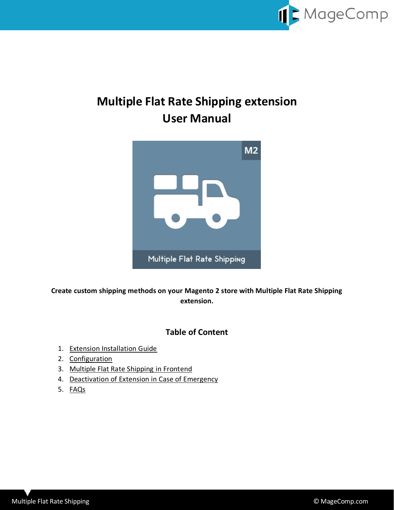

# **Multiple Flat Rate Shipping extension User Manual**



**Create custom shipping methods on your Magento 2 store with Multiple Flat Rate Shipping extension.**

### **Table of Content**

- 1. [Extension Installation Guide](#page-1-0)
- 2. [Configuration](#page-1-1)
- 3. [Multiple Flat Rate Shipping in Frontend](#page-3-0)
- 4. [Deactivation of Extension in Case of Emergency](#page-4-0)
- 5. [FAQs](#page-4-1)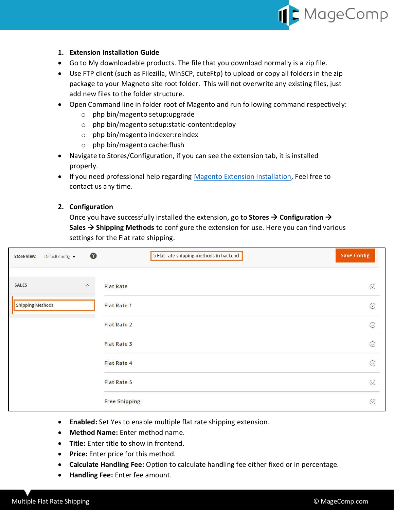

#### <span id="page-1-0"></span>**1. Extension Installation Guide**

- Go to My downloadable products. The file that you download normally is a zip file.
- Use FTP client (such as Filezilla, WinSCP, cuteFtp) to upload or copy all folders in the zip package to your Magneto site root folder. This will not overwrite any existing files, just add new files to the folder structure.
- Open Command line in folder root of Magento and run following command respectively:
	- o php bin/magento setup:upgrade
	- o php bin/magento setup:static-content:deploy
	- o php bin/magento indexer:reindex
	- o php bin/magento cache:flush
- Navigate to Stores/Configuration, if you can see the extension tab, it is installed properly.
- If you need professional help regarding [Magento Extension Installation,](https://magecomp.com/magento-professional-installation.html) Feel free to contact us any time.

#### <span id="page-1-1"></span>**2. Configuration**

Once you have successfully installed the extension, go to **Stores Configuration Sales → Shipping Methods** to configure the extension for use. Here you can find various settings for the Flat rate shipping.

| <b>Store View:</b><br>Default Config v | €        | 5 Flat rate shipping methods in backend | <b>Save Config</b> |
|----------------------------------------|----------|-----------------------------------------|--------------------|
| <b>SALES</b>                           | $\wedge$ | <b>Flat Rate</b>                        | $\odot$            |
| <b>Shipping Methods</b>                |          | <b>Flat Rate 1</b>                      | $\odot$            |
|                                        |          | <b>Flat Rate 2</b>                      | $\odot$            |
|                                        |          | <b>Flat Rate 3</b>                      | $\odot$            |
|                                        |          | <b>Flat Rate 4</b>                      | $\odot$            |
|                                        |          | <b>Flat Rate 5</b>                      | $\odot$            |
|                                        |          | <b>Free Shipping</b>                    | $\odot$            |

- **Enabled:** Set Yes to enable multiple flat rate shipping extension.
- **Method Name:** Enter method name.
- **Title:** Enter title to show in frontend.
- **Price:** Enter price for this method.
- **Calculate Handling Fee:** Option to calculate handling fee either fixed or in percentage.
- **Handling Fee:** Enter fee amount.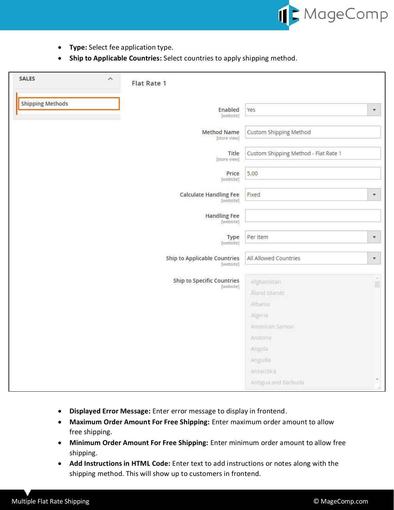

- **Type:** Select fee application type.
- **Ship to Applicable Countries:** Select countries to apply shipping method.

| <b>SALES</b>            | $\widehat{\phantom{a}}$ | <b>Flat Rate 1</b>                             |                                      |                      |
|-------------------------|-------------------------|------------------------------------------------|--------------------------------------|----------------------|
| <b>Shipping Methods</b> |                         | Enabled<br>[website]                           | Yes                                  | $\blacktriangledown$ |
|                         |                         | <b>Method Name</b><br>[store view]             | Custom Shipping Method               |                      |
|                         |                         | Title<br>[store view]                          | Custom Shipping Method - Flat Rate 1 |                      |
|                         |                         | Price<br>[website]                             | 5.00                                 |                      |
|                         |                         | <b>Calculate Handling Fee</b><br>[website]     | Fixed                                | ٠                    |
|                         |                         | <b>Handling Fee</b><br>[website]               |                                      |                      |
|                         |                         | Type<br>[website]                              | Per Item                             | $\mathbf{v}$         |
|                         |                         | Ship to Applicable Countries<br>[website]      | All Allowed Countries                | $\pmb{\mathrm{v}}$   |
|                         |                         | <b>Ship to Specific Countries</b><br>[website] | Afghanistan                          | ×<br>Ξ               |
|                         |                         |                                                | Åland Islands<br>Albania             |                      |
|                         |                         |                                                | Algeria                              |                      |
|                         |                         |                                                | American Samoa                       |                      |
|                         |                         |                                                | Andorra                              |                      |
|                         |                         |                                                | Angola                               |                      |
|                         |                         |                                                | Anguilla                             |                      |
|                         |                         |                                                | Antarctica                           |                      |
|                         |                         |                                                | Antigua and Barbuda                  |                      |

- **Displayed Error Message:** Enter error message to display in frontend.
- **Maximum Order Amount For Free Shipping:** Enter maximum order amount to allow free shipping.
- **Minimum Order Amount For Free Shipping:** Enter minimum order amount to allow free shipping.
- **Add Instructions in HTML Code:** Enter text to add instructions or notes along with the shipping method. This will show up to customers in frontend.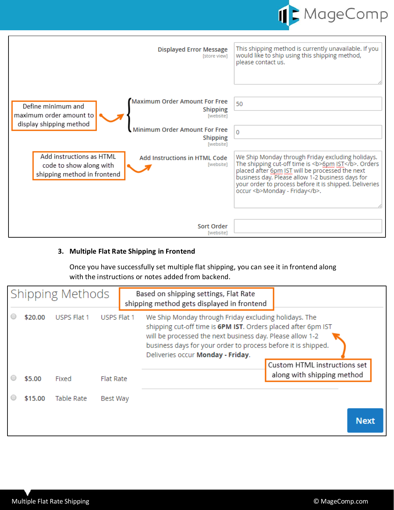

| <b>Displayed Error Message</b><br>[store view]                                                                                   | This shipping method is currently unavailable. If you<br>would like to ship using this shipping method,<br>please contact us.                                                                                                                                                                                |
|----------------------------------------------------------------------------------------------------------------------------------|--------------------------------------------------------------------------------------------------------------------------------------------------------------------------------------------------------------------------------------------------------------------------------------------------------------|
| <b>Maximum Order Amount For Free</b><br>Define minimum and<br><b>Shipping</b><br>maximum order amount to<br>[website]            | 50                                                                                                                                                                                                                                                                                                           |
| display shipping method<br>Minimum Order Amount For Free<br><b>Shipping</b><br>[website]                                         | $\Omega$                                                                                                                                                                                                                                                                                                     |
| Add instructions as HTML<br>Add Instructions in HTML Code<br>[website]<br>code to show along with<br>shipping method in frontend | We Ship Monday through Friday excluding holidays.<br>The shipping cut-off time is <b>6pm IST</b> . Orders<br>placed after 6pm IST will be processed the next<br>business day. Please allow 1-2 business days for<br>your order to process before it is shipped. Deliveries<br>occur <b>Monday - Friday</b> . |
| Sort Order<br>[website]                                                                                                          |                                                                                                                                                                                                                                                                                                              |

#### <span id="page-3-0"></span>**3. Multiple Flat Rate Shipping in Frontend**

Once you have successfully set multiple flat shipping, you can see it in frontend along with the instructions or notes added from backend.

| Shipping Methods |         |                   |                  |  | Based on shipping settings, Flat Rate<br>shipping method gets displayed in frontend                                                                                                                                                                                                       |                                                            |
|------------------|---------|-------------------|------------------|--|-------------------------------------------------------------------------------------------------------------------------------------------------------------------------------------------------------------------------------------------------------------------------------------------|------------------------------------------------------------|
|                  | \$20.00 | USPS Flat 1       | USPS Flat 1      |  | We Ship Monday through Friday excluding holidays. The<br>shipping cut-off time is 6PM IST. Orders placed after 6pm IST<br>will be processed the next business day. Please allow 1-2<br>business days for your order to process before it is shipped.<br>Deliveries occur Monday - Friday. |                                                            |
|                  | \$5.00  | Fixed             | <b>Flat Rate</b> |  |                                                                                                                                                                                                                                                                                           | Custom HTML instructions set<br>along with shipping method |
|                  |         |                   |                  |  |                                                                                                                                                                                                                                                                                           |                                                            |
|                  | \$15.00 | <b>Table Rate</b> | Best Way         |  |                                                                                                                                                                                                                                                                                           |                                                            |
|                  |         |                   |                  |  |                                                                                                                                                                                                                                                                                           | <b>Next</b>                                                |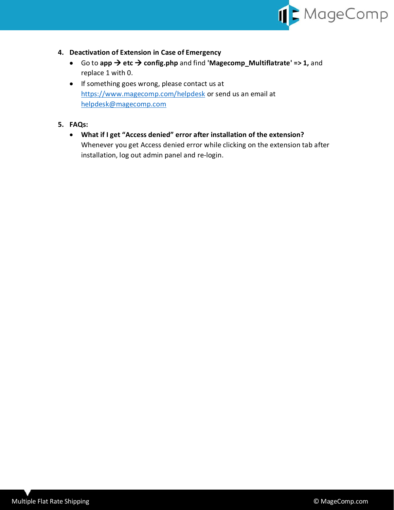

- <span id="page-4-0"></span>**4. Deactivation of Extension in Case of Emergency**
	- Go to **app etc config.php** and find **'Magecomp\_Multiflatrate' => 1,** and replace 1 with 0.
	- If something goes wrong, please contact us at <https://www.magecomp.com/helpdesk> or send us an email at [helpdesk@magecomp.com](mailto:helpdesk@magecomp.com)
- <span id="page-4-1"></span>**5. FAQs:**
	- **What if I get "Access denied" error after installation of the extension?** Whenever you get Access denied error while clicking on the extension tab after installation, log out admin panel and re-login.